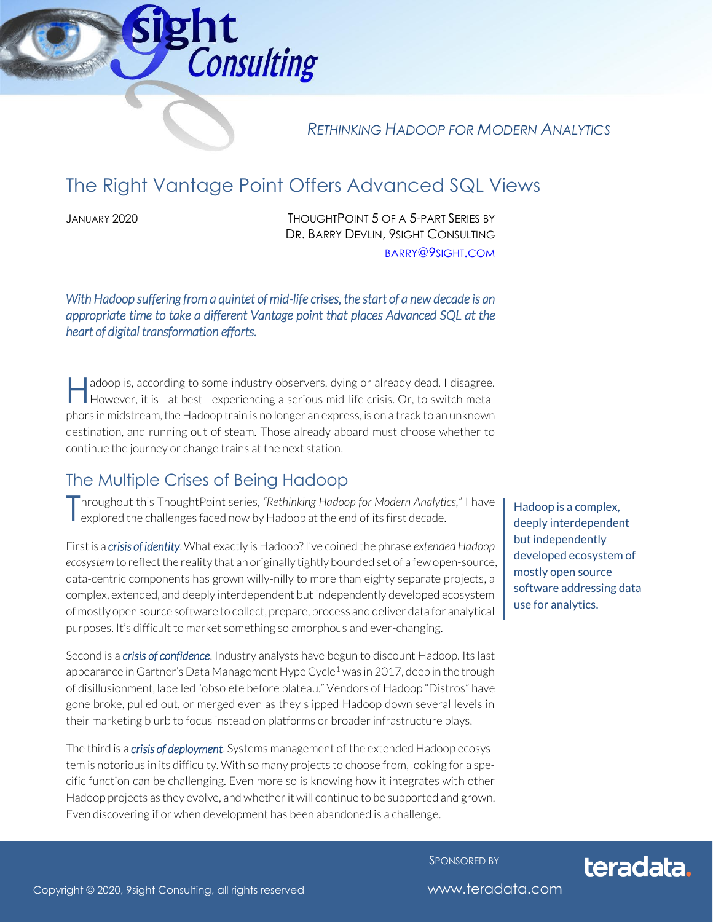

*RETHINKING HADOOP FOR MODERN ANALYTICS*

# The Right Vantage Point Offers Advanced SQL Views

JANUARY 2020 THOUGHTPOINT 5 OF A 5-PART SERIES BY DR. BARRY DEVLIN, 9SIGHT CONSULTING [BARRY](mailto:barry@9sight.com)@9SIGHT.COM

*With Hadoop suffering from a quintet of mid-life crises, the start of a new decade is an appropriate time to take a different Vantage point that places Advanced SQL at the heart of digital transformation efforts.* 

adoop is, according to some industry observers, dying or already dead. I disagree. However, it is—at best—experiencing a serious mid-life crisis. Or, to switch meta-<br>However, it is—at best—experiencing a serious mid-life crisis. Or, to switch metaphors in midstream, the Hadoop train is no longer an express, is on a track to an unknown destination, and running out of steam. Those already aboard must choose whether to continue the journey or change trains at the next station.

### The Multiple Crises of Being Hadoop

Throughout this ThoughtPoint series, "Rethinking Hadoop for Modern Analytics," I have<br>explored the challenges faced now by Hadoop at the end of its first decade. explored the challenges faced now by Hadoop at the end of its first decade.

First is a *crisis of identity*. What exactly is Hadoop? I've coined the phrase *extended Hadoop ecosystem* to reflect the reality that an originally tightly bounded set of a few open-source, data-centric components has grown willy-nilly to more than eighty separate projects, a complex, extended, and deeply interdependent but independently developed ecosystem of mostly open source software to collect, prepare, process and deliver data for analytical purposes. It's difficult to market something so amorphous and ever-changing.

Second is a *crisis of confidence*. Industry analysts have begun to discount Hadoop. Its last appearance in Gartner's Data Management Hype Cycle<sup>1</sup> was in 2017, deep in the trough of disillusionment, labelled "obsolete before plateau." Vendors of Hadoop "Distros" have gone broke, pulled out, or merged even as they slipped Hadoop down several levels in their marketing blurb to focus instead on platforms or broader infrastructure plays.

The third is a *crisis of deployment*. Systems management of the extended Hadoop ecosystem is notorious in its difficulty. With so many projects to choose from, looking for a specific function can be challenging. Even more so is knowing how it integrates with other Hadoop projects as they evolve, and whether it will continue to be supported and grown. Even discovering if or when development has been abandoned is a challenge.

Hadoop is a complex, deeply interdependent but independently developed ecosystem of mostly open source software addressing data use for analytics.

SPONSORED BY



Copyright © 2020, 9sight Consulting, all rights reserved www.teradata.com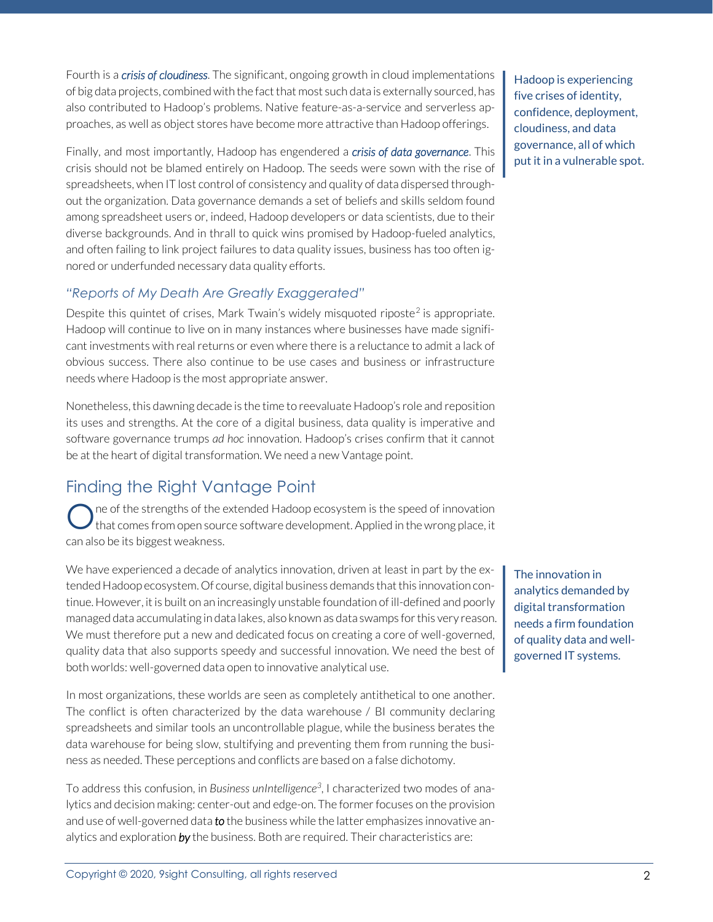Fourth is a *crisis of cloudiness*. The significant, ongoing growth in cloud implementations of big data projects, combined with the fact that most such data is externally sourced, has also contributed to Hadoop's problems. Native feature-as-a-service and serverless approaches, as well as object stores have become more attractive than Hadoop offerings.

Finally, and most importantly, Hadoop has engendered a *crisis of data governance*. This crisis should not be blamed entirely on Hadoop. The seeds were sown with the rise of spreadsheets, when IT lost control of consistency and quality of data dispersed throughout the organization. Data governance demands a set of beliefs and skills seldom found among spreadsheet users or, indeed, Hadoop developers or data scientists, due to their diverse backgrounds. And in thrall to quick wins promised by Hadoop-fueled analytics, and often failing to link project failures to data quality issues, business has too often ignored or underfunded necessary data quality efforts.

#### *"Reports of My Death Are Greatly Exaggerated"*

Despite this quintet of crises, Mark Twain's widely misquoted riposte<sup>2</sup> is appropriate. Hadoop will continue to live on in many instances where businesses have made significant investments with real returns or even where there is a reluctance to admit a lack of obvious success. There also continue to be use cases and business or infrastructure needs where Hadoop is the most appropriate answer.

Nonetheless, this dawning decade is the time to reevaluate Hadoop's role and reposition its uses and strengths. At the core of a digital business, data quality is imperative and software governance trumps *ad hoc* innovation. Hadoop's crises confirm that it cannot be at the heart of digital transformation. We need a new Vantage point.

# Finding the Right Vantage Point

ne of the strengths of the extended Hadoop ecosystem is the speed of innovation that comes from open source software development. Applied in the wrong place, it can also be its biggest weakness. O

We have experienced a decade of analytics innovation, driven at least in part by the extended Hadoop ecosystem. Of course, digital business demands that this innovation continue. However, it is built on an increasingly unstable foundation of ill-defined and poorly managed data accumulating in data lakes, also known as data swamps for this very reason. We must therefore put a new and dedicated focus on creating a core of well-governed, quality data that also supports speedy and successful innovation. We need the best of both worlds: well-governed data open to innovative analytical use.

In most organizations, these worlds are seen as completely antithetical to one another. The conflict is often characterized by the data warehouse / BI community declaring spreadsheets and similar tools an uncontrollable plague, while the business berates the data warehouse for being slow, stultifying and preventing them from running the business as needed. These perceptions and conflicts are based on a false dichotomy.

To address this confusion, in *Business unIntelligence<sup>3</sup>* , I characterized two modes of analytics and decision making: center-out and edge-on. The former focuses on the provision and use of well-governed data *to* the business while the latter emphasizes innovative analytics and exploration *by* the business. Both are required. Their characteristics are:

Hadoop is experiencing five crises of identity, confidence, deployment, cloudiness, and data governance, all of which put it in a vulnerable spot.

The innovation in analytics demanded by digital transformation needs a firm foundation of quality data and wellgoverned IT systems.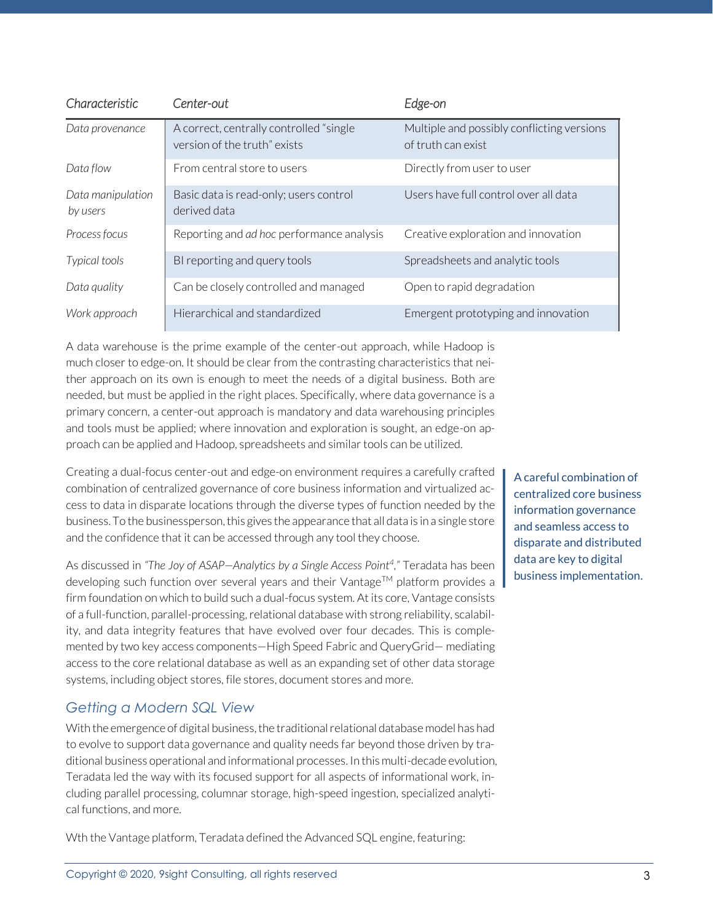| Characteristic                | Center-out                                                              | Edge-on                                                          |
|-------------------------------|-------------------------------------------------------------------------|------------------------------------------------------------------|
| Data provenance               | A correct, centrally controlled "single<br>version of the truth" exists | Multiple and possibly conflicting versions<br>of truth can exist |
| Data flow                     | From central store to users                                             | Directly from user to user                                       |
| Data manipulation<br>by users | Basic data is read-only; users control<br>derived data                  | Users have full control over all data                            |
| Process focus                 | Reporting and ad hoc performance analysis                               | Creative exploration and innovation                              |
| Typical tools                 | BI reporting and query tools                                            | Spreadsheets and analytic tools                                  |
| Data quality                  | Can be closely controlled and managed                                   | Open to rapid degradation                                        |
| Work approach                 | Hierarchical and standardized                                           | Emergent prototyping and innovation                              |

A data warehouse is the prime example of the center-out approach, while Hadoop is much closer to edge-on. It should be clear from the contrasting characteristics that neither approach on its own is enough to meet the needs of a digital business. Both are needed, but must be applied in the right places. Specifically, where data governance is a primary concern, a center-out approach is mandatory and data warehousing principles and tools must be applied; where innovation and exploration is sought, an edge-on approach can be applied and Hadoop, spreadsheets and similar tools can be utilized.

Creating a dual-focus center-out and edge-on environment requires a carefully crafted combination of centralized governance of core business information and virtualized access to data in disparate locations through the diverse types of function needed by the business. To the businessperson, this gives the appearance that all data is in a single store and the confidence that it can be accessed through any tool they choose.

As discussed in *"The Joy of ASAP—Analytics by a Single Access Point<sup>4</sup> ,"* Teradata has been developing such function over several years and their Vantage<sup>TM</sup> platform provides a firm foundation on which to build such a dual-focus system. At its core, Vantage consists of a full-function, parallel-processing, relational database with strong reliability, scalability, and data integrity features that have evolved over four decades. This is complemented by two key access components—High Speed Fabric and QueryGrid— mediating access to the core relational database as well as an expanding set of other data storage systems, including object stores, file stores, document stores and more.

### *Getting a Modern SQL View*

With the emergence of digital business, the traditional relational database model has had to evolve to support data governance and quality needs far beyond those driven by traditional business operational and informational processes. In this multi-decade evolution, Teradata led the way with its focused support for all aspects of informational work, including parallel processing, columnar storage, high-speed ingestion, specialized analytical functions, and more.

Wth the Vantage platform, Teradata defined the Advanced SQL engine, featuring:

A careful combination of centralized core business information governance and seamless access to disparate and distributed data are key to digital business implementation.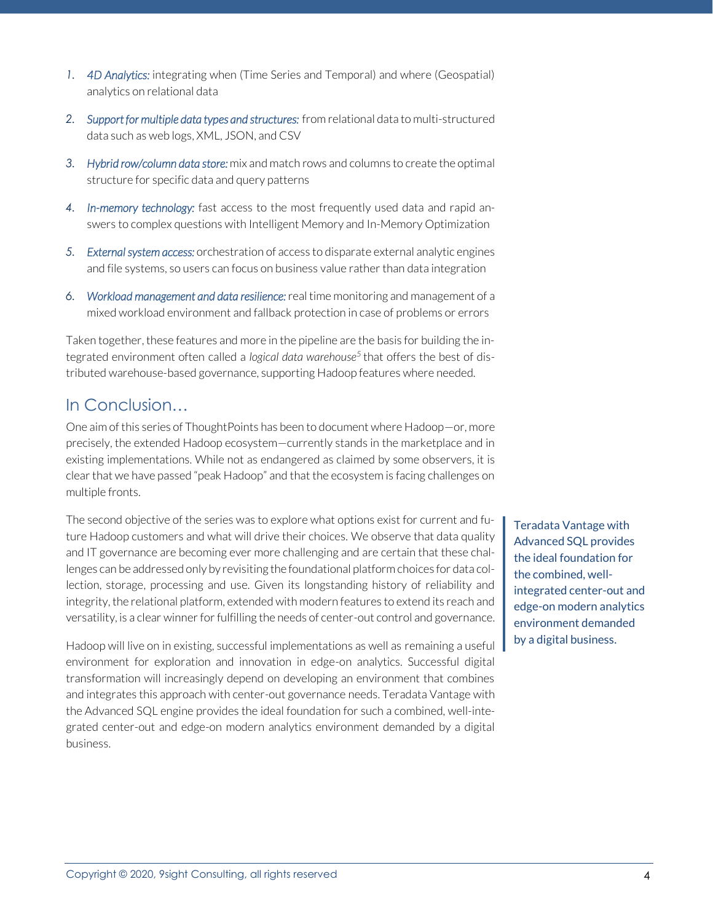- *1. 4D Analytics:* integrating when (Time Series and Temporal) and where (Geospatial) analytics on relational data
- *2. Support for multiple data types and structures:* from relational data to multi-structured data such as web logs, XML, JSON, and CSV
- *3. Hybrid row/column data store:* mix and match rows and columns to create the optimal structure for specific data and query patterns
- *4. In-memory technology:* fast access to the most frequently used data and rapid answers to complex questions with Intelligent Memory and In-Memory Optimization
- *5. External system access:* orchestration of access to disparate external analytic engines and file systems, so users can focus on business value rather than data integration
- *6. Workload management and data resilience:* real time monitoring and management of a mixed workload environment and fallback protection in case of problems or errors

Taken together, these features and more in the pipeline are the basis for building the integrated environment often called a *logical data warehouse<sup>5</sup>* that offers the best of distributed warehouse-based governance, supporting Hadoop features where needed.

## In Conclusion…

One aim of this series of ThoughtPoints has been to document where Hadoop—or, more precisely, the extended Hadoop ecosystem—currently stands in the marketplace and in existing implementations. While not as endangered as claimed by some observers, it is clear that we have passed "peak Hadoop" and that the ecosystem is facing challenges on multiple fronts.

The second objective of the series was to explore what options exist for current and future Hadoop customers and what will drive their choices. We observe that data quality and IT governance are becoming ever more challenging and are certain that these challenges can be addressed only by revisiting the foundational platform choices for data collection, storage, processing and use. Given its longstanding history of reliability and integrity, the relational platform, extended with modern features to extend its reach and versatility, is a clear winner for fulfilling the needs of center-out control and governance.

Hadoop will live on in existing, successful implementations as well as remaining a useful environment for exploration and innovation in edge-on analytics. Successful digital transformation will increasingly depend on developing an environment that combines and integrates this approach with center-out governance needs. Teradata Vantage with the Advanced SQL engine provides the ideal foundation for such a combined, well-integrated center-out and edge-on modern analytics environment demanded by a digital business.

Teradata Vantage with Advanced SQL provides the ideal foundation for the combined, wellintegrated center-out and edge-on modern analytics environment demanded by a digital business.